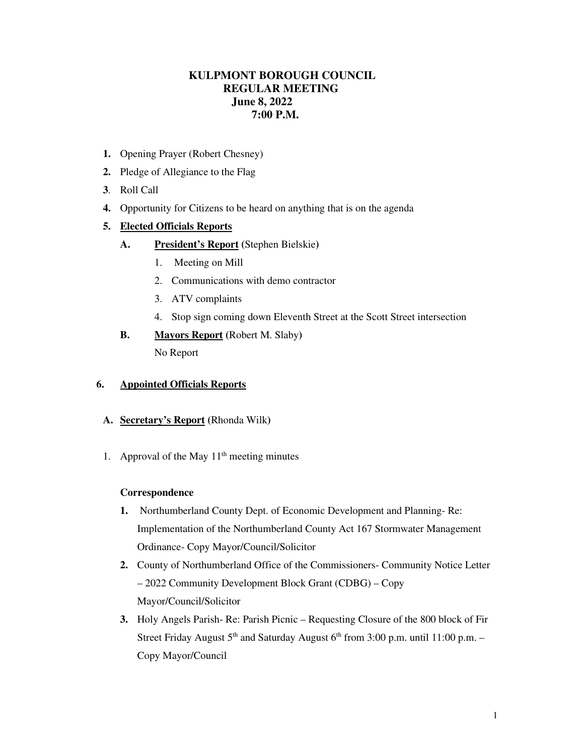# **KULPMONT BOROUGH COUNCIL REGULAR MEETING June 8, 2022 7:00 P.M.**

- **1.** Opening Prayer (Robert Chesney)
- **2.** Pledge of Allegiance to the Flag
- **3**. Roll Call
- **4.** Opportunity for Citizens to be heard on anything that is on the agenda

## **5. Elected Officials Reports**

- **A. President's Report (**Stephen Bielskie**)** 
	- 1. Meeting on Mill
	- 2. Communications with demo contractor
	- 3. ATV complaints
	- 4. Stop sign coming down Eleventh Street at the Scott Street intersection

#### **B. Mayors Report (**Robert M. Slaby**)**

No Report

#### **6. Appointed Officials Reports**

- **A. Secretary's Report (**Rhonda Wilk**)**
- 1. Approval of the May  $11<sup>th</sup>$  meeting minutes

#### **Correspondence**

- **1.** Northumberland County Dept. of Economic Development and Planning- Re: Implementation of the Northumberland County Act 167 Stormwater Management Ordinance- Copy Mayor/Council/Solicitor
- **2.** County of Northumberland Office of the Commissioners- Community Notice Letter – 2022 Community Development Block Grant (CDBG) – Copy Mayor/Council/Solicitor
- **3.** Holy Angels Parish- Re: Parish Picnic Requesting Closure of the 800 block of Fir Street Friday August  $5<sup>th</sup>$  and Saturday August  $6<sup>th</sup>$  from 3:00 p.m. until 11:00 p.m. – Copy Mayor/Council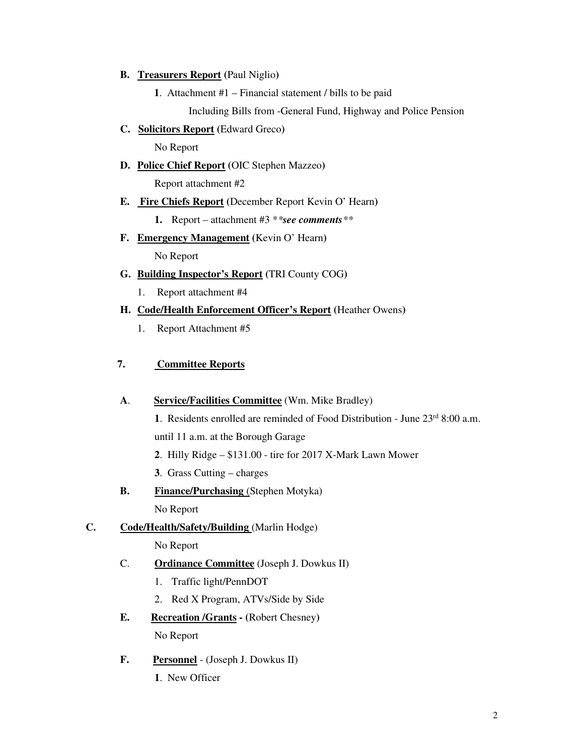#### **B. Treasurers Report (**Paul Niglio**)**

**1**. Attachment #1 – Financial statement / bills to be paid

Including Bills from -General Fund, Highway and Police Pension

**C. Solicitors Report (**Edward Greco**)** 

No Report

**D. Police Chief Report (**OIC Stephen Mazzeo**)** 

Report attachment #2

## **E. Fire Chiefs Report (**December Report Kevin O' Hearn**)**

**1.** Report – attachment #3 \**\*see comments\*\**

**F. Emergency Management (**Kevin O' Hearn**)** 

No Report

- **G. Building Inspector's Report (**TRI County COG**)** 
	- 1. Report attachment #4

## **H. Code/Health Enforcement Officer's Report (**Heather Owens**)**

1. Report Attachment #5

## **7. Committee Reports**

## **A**. **Service/Facilities Committee** (Wm. Mike Bradley)

**1**. Residents enrolled are reminded of Food Distribution - June 23<sup>rd</sup> 8:00 a.m. until 11 a.m. at the Borough Garage

- **2**. Hilly Ridge \$131.00 tire for 2017 X-Mark Lawn Mower
- **3**. Grass Cutting charges
- **B.** Finance/Purchasing (Stephen Motyka)

No Report

## **C. Code/Health/Safety/Building** (Marlin Hodge)

No Report

## C. **Ordinance Committee** (Joseph J. Dowkus II)

- 1. Traffic light/PennDOT
- 2. Red X Program, ATVs/Side by Side
- **E. Recreation /Grants (**Robert Chesney**)** No Report

## **F. Personnel** - (Joseph J. Dowkus II)

 **1**. New Officer